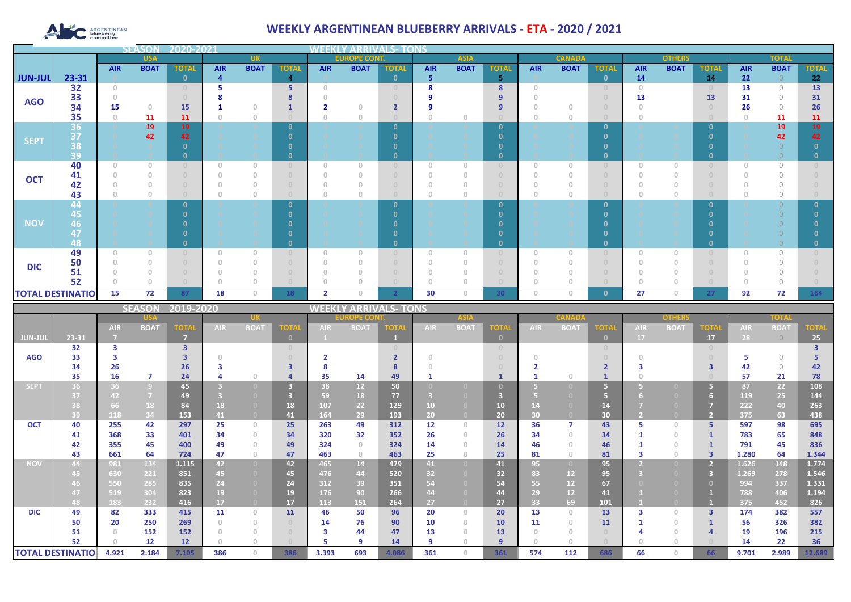#### $\Delta$ ARGENTINEAN

# **WEEKLY ARGENTINEAN BLUEBERRY ARRIVALS - ETA - 2020 / 2021**

|                | 2020-2021<br><b>SEASON</b> |                                       |                                       |                         |                                                       |                                  | VEEKLY                           |                                       | <b>ARRIVALS-TONS</b>                  |                          |                         |                                       |                                       |                                       |                        |                                        |                         |                                       |                                       |                                  |                  |                                  |
|----------------|----------------------------|---------------------------------------|---------------------------------------|-------------------------|-------------------------------------------------------|----------------------------------|----------------------------------|---------------------------------------|---------------------------------------|--------------------------|-------------------------|---------------------------------------|---------------------------------------|---------------------------------------|------------------------|----------------------------------------|-------------------------|---------------------------------------|---------------------------------------|----------------------------------|------------------|----------------------------------|
|                |                            |                                       | <b>USA</b>                            |                         |                                                       | <b>UK</b>                        |                                  |                                       | <b>EUROPE CON'</b>                    |                          |                         | <b>ASIA</b>                           |                                       |                                       | <b>CANAD</b>           |                                        |                         | <b>OTHERS</b>                         |                                       |                                  | <b>TOTAL</b>     |                                  |
|                |                            | <b>AIR</b>                            | <b>BOAT</b>                           | <b>TOTAL</b>            | <b>AIR</b>                                            | <b>BOAT</b>                      | <b>TOTAL</b>                     | <b>AIR</b>                            | <b>BOAT</b>                           | <b>TOTAL</b>             | <b>AIR</b>              | <b>BOAT</b>                           | <b>TOTAL</b>                          | <b>AIR</b>                            | <b>BOAT</b>            | <b>TOTAL</b>                           | <b>AIR</b>              | <b>BOAT</b>                           | <b>TOTAL</b>                          | <b>AIR</b>                       | <b>BOAT</b>      | <b>TOTAL</b>                     |
| <b>JUN-JUL</b> | 23-31                      |                                       |                                       | $\mathbf{0}$            | $\overline{4}$                                        |                                  | $\overline{4}$                   |                                       |                                       | $\mathbf{0}$             | 5 <sub>1</sub>          |                                       | -5                                    |                                       |                        | $\mathbf{0}$                           | 14                      |                                       | 14                                    | 22                               | $\overline{0}$   | 22                               |
|                | 32                         | $\circ$                               |                                       | $\overline{0}$          | 5                                                     |                                  | 5 <sub>1</sub>                   | $\circ$                               |                                       | $\cup$                   | 8                       |                                       | 8                                     | $\Omega$                              |                        | $\mathbf{0}$                           | $\circ$                 |                                       | $\overline{0}$                        | 13                               | $\circ$          | 13                               |
| <b>AGO</b>     | 33                         | $\circ$                               |                                       | $\cup$                  | 8                                                     |                                  | 8                                | $\theta$                              |                                       | $\overline{0}$           | 9<br>$\overline{9}$     |                                       | 9 <sup>°</sup>                        | $\Omega$<br>$\theta$                  |                        | $\overline{0}$                         | 13                      |                                       | 13                                    | 31<br>26                         | $\circ$          | 31                               |
|                | 34<br>35                   | 15<br>$\circ$                         | $\,$ $\,$ $\,$                        | 15<br><b>11</b>         | $\mathbf{1}$<br>$\begin{array}{c} 0 \\ 0 \end{array}$ | $\circ$<br>$\mathbb O$           | $\mathbf{1}$<br>$\cap$           | $\overline{\mathbf{2}}$<br>$\circ$    | $\circ$<br>$\circ$                    | $\overline{2}$<br>$\cap$ | $\circ$                 | $\circ$                               | 9<br>$\cap$                           | $\Omega$                              | $\circ$<br>$\mathbb O$ | $\mathbb O$<br>$\cup$                  | $\circ$<br>$\circ$      |                                       | $\theta$<br>$\bigcap$                 | $\circ$                          | $\bigcirc$<br>11 | 26<br>11                         |
|                | 36                         |                                       | 11<br>19                              | 19                      |                                                       |                                  | $\mathbf{0}$                     |                                       |                                       | $\mathbf{0}$             |                         |                                       | $\mathbf{0}$                          |                                       |                        | $\mathbf{0}$                           |                         |                                       | $\mathbf{0}$                          |                                  | 19               | 19                               |
|                | 37                         |                                       | 42                                    | 42                      |                                                       | $\circ$                          | $\mathbf{0}$                     |                                       |                                       | $\mathbf{0}$             |                         |                                       | $\mathbf{0}$                          |                                       |                        | $\mathbf{0}$                           |                         | $\circ$                               | $\mathbf{0}$                          |                                  | 42               | 42                               |
| <b>SEPT</b>    | 38                         |                                       |                                       | $\mathbf{0}$            |                                                       |                                  | $\mathbf{0}$                     |                                       |                                       | $\mathbf{0}$             |                         |                                       | $\mathbf{0}$                          |                                       |                        | $\mathbf{0}$                           |                         |                                       | $\mathbf{0}$                          |                                  | $\overline{0}$   | $\mathbf{0}$                     |
|                | 39                         |                                       |                                       | $\mathbf{0}$            |                                                       |                                  | $\mathbf{0}$                     |                                       |                                       | $\mathbf{0}$             |                         |                                       | $\mathbf{0}$                          |                                       |                        | $\mathbf{0}$                           |                         |                                       | $\mathbf{0}$                          |                                  | $\overline{0}$   | $\mathbf{0}$                     |
|                | 40                         | $\begin{array}{c} 0 \\ 0 \end{array}$ | $\mathbb O$                           | $\overline{0}$          | $\circ$                                               | $\mathbb O$                      | $\circ$                          | $\circ$                               | $\mathbf{0}$                          | $\Omega$                 | $\circledcirc$          | $\circ$                               | $\begin{array}{c} 0 \\ 0 \end{array}$ | $\sqrt{a}$                            | $\circ$                | $\cup$                                 | $\circ$                 | $\mathbb O$                           | $\overline{0}$                        | $\circ$                          | $\bigcirc$       | $\cup$                           |
|                | 41                         | $\circ$                               | $\Omega$                              | $\cup$                  | $\circ$                                               | $\circ$                          | $\begin{array}{c} 0 \end{array}$ | $\begin{array}{c} 0 \\ 0 \end{array}$ | $\overline{0}$                        | $\Omega$                 | $\circ$                 | $\circ$                               | $\begin{array}{c} 0 \\ 0 \end{array}$ | $\Omega$                              | $\circ$                | $\begin{array}{c} 0 \end{array}$       | $\circ$                 | $\mathbb O$                           | $\cup$                                | $\theta$                         | $\circ$          | $\cup$                           |
| <b>OCT</b>     | 42                         | $\circ$                               | $\,$ $\,$ $\,$                        | $\cup$                  | $\Omega$                                              | $\circ$                          | $\theta$                         | $\mathbb O$                           | $\circ$                               | $\Omega$                 | $\circ$                 | $\begin{array}{c} 0 \\ 0 \end{array}$ | $\begin{array}{c} \n\end{array}$      | $\Omega$                              | $\circ$                | $\circ$                                | $\Omega$                | $\mathbb O$                           | $\overline{0}$                        | $\Omega$                         | $\mathsf O$      | $\cup$                           |
|                | 43                         | $\circ$                               | $\circledcirc$                        | $\cap$                  | $\Omega$                                              | $\mathbb O$                      | $\Box$                           | $\begin{array}{c} 0 \\ 0 \end{array}$ | $\circ$                               | $\cap$                   | $\circ$                 | $\circ$                               | $\cup$                                | $\Omega$                              | $\circ$                | $\cup$                                 | $\Omega$                | $\mathbb O$                           | $\sqrt{a}$                            | $\cap$                           | $\circ$          | $\Box$                           |
|                | 44                         |                                       |                                       | $\mathbf{0}$            |                                                       |                                  | $\mathbf{0}$                     |                                       |                                       | $\mathbf{0}$             |                         |                                       | $\mathbf{0}$                          |                                       |                        | $\mathbf{0}$                           |                         |                                       | $\mathbf{0}$                          |                                  | $\overline{0}$   | $\mathbf{0}$                     |
|                | 45                         |                                       |                                       | $\mathbf{0}$            |                                                       |                                  | $\mathbf{0}$                     |                                       |                                       | $\mathbf{0}$             |                         |                                       | $\mathbf{0}$                          |                                       |                        | $\mathbf{0}$                           |                         |                                       | $\mathbf{0}$                          |                                  | $\overline{O}$   | $\mathbf{0}$                     |
| <b>NOV</b>     | 46                         |                                       |                                       | $\mathbf{0}$            |                                                       |                                  | $\mathbf{0}$                     |                                       |                                       | $\mathbf{0}$             |                         |                                       | $\mathbf{0}$                          |                                       |                        | $\mathbf{0}$                           |                         |                                       | $\mathbf{0}$                          |                                  | $\overline{O}$   | $\mathbf{0}$                     |
|                | 47                         |                                       |                                       | $\mathbf{0}$            |                                                       |                                  | $\mathbf{0}$                     |                                       |                                       | $\mathbf{0}$             |                         |                                       | $\mathbf{0}$                          |                                       |                        | $\mathbf{0}$                           |                         | $\circ$                               | $\mathbf{0}$                          |                                  | $\overline{0}$   | $\mathbf{0}$                     |
|                | 48                         |                                       |                                       | $\mathbf{0}$            |                                                       |                                  | $\mathbf{0}$                     |                                       |                                       | $\mathbf{0}$             |                         |                                       | $\mathbf{0}$                          |                                       |                        | $\mathbf{0}$                           |                         |                                       | $\mathbf{0}$                          |                                  |                  | $\mathbf{0}$                     |
|                | 49                         | $\mathbf 0$                           | $\hbox{O}$                            | $\cup$                  | $\circ$                                               | $\circ$                          | $\cup$                           | $\begin{array}{c} 0 \\ 0 \end{array}$ | $\begin{array}{c} 0 \\ 0 \end{array}$ | 0                        | $\circ$                 | $\begin{array}{c} 0 \\ 0 \end{array}$ | $\begin{matrix} 0 \end{matrix}$       | $\begin{array}{c} 0 \\ 0 \end{array}$ | $\circ$                | $\cup$                                 | $\mathbf 0$             | $\circ$                               | $\Box$                                | $\begin{array}{c} 0 \end{array}$ | $\circ$          | $\circ$                          |
| <b>DIC</b>     | 50                         | $\mathbf{0}$                          | $\circ$                               | $\cup$                  | $\begin{array}{c} 0 \\ 0 \end{array}$                 | $\circ$                          | $\circ$                          | $\circledcirc$                        | $\begin{array}{c} 0 \\ 0 \end{array}$ | $\overline{0}$           | $\circ$                 | $\mathbf{0}$                          | $\mathbb O$                           | $\Omega$                              | $\overline{0}$         | $\begin{array}{c} \square \end{array}$ | $\Omega$                | $\mathbb O$                           | $\begin{array}{c} 0 \\ 0 \end{array}$ | $\Omega$                         | $\bigcirc$       | $\cup$                           |
|                | 51                         | $\circ$                               | $\circ$                               | $\cup$                  | $\circ$                                               | $\circ$                          | $\circ$                          | $\circledcirc$                        | $\circ$                               | $\overline{0}$           | $\circ$                 | $\circ$                               | $\circledcirc$                        | $\begin{array}{c} 0 \\ 0 \end{array}$ | $\circ$                | $\cup$                                 | $\mathbf{0}$            | $\begin{array}{c} 0 \\ 0 \end{array}$ | $\theta$                              | $\circ$                          | $\circ$          | $\cup$                           |
|                | 52                         | $\mathbf{0}$                          | $\begin{array}{c} 0 \\ 0 \end{array}$ | $\cap$                  | $\cap$                                                | $\circ$                          | $\cap$                           | $\begin{array}{c} 0 \\ 0 \end{array}$ | $\bigcap$                             |                          | $\theta$                | $\mathbf{0}$                          | $\circ$                               | $\Omega$                              | $\circ$                | $\cap$                                 | $\bigcap$               | $\circ$                               |                                       | $\cap$                           | $\circ$          | $\begin{array}{c} 0 \end{array}$ |
|                | <b>TOTAL DESTINATIO</b>    | 15                                    | 72                                    | -87                     | 18                                                    | $\circ$                          | 18                               | $\overline{\mathbf{2}}$               | $\circ$                               |                          | 30                      | $\begin{array}{c} 0 \\ 0 \end{array}$ | 30                                    | $\begin{array}{c} 0 \\ 0 \end{array}$ | $\overline{0}$         | $\mathbf{0}$                           | 27                      | $\,0\,$                               | 27                                    | 92                               | 72               | 164                              |
|                |                            |                                       |                                       |                         |                                                       |                                  |                                  |                                       |                                       |                          |                         |                                       |                                       |                                       |                        |                                        |                         |                                       |                                       |                                  |                  |                                  |
|                |                            |                                       | <b>SEASON</b>                         | 2019-2020               |                                                       |                                  |                                  | WEEKL                                 |                                       | <b>ARRIVALS-TONS</b>     |                         |                                       |                                       |                                       |                        |                                        |                         |                                       |                                       |                                  |                  |                                  |
|                |                            |                                       |                                       |                         |                                                       |                                  |                                  |                                       |                                       |                          |                         |                                       |                                       |                                       |                        |                                        |                         |                                       |                                       |                                  |                  |                                  |
|                |                            | <b>AIR</b>                            | <b>BOAT</b>                           | <b>TOT</b>              | <b>AIR</b>                                            | <b>BOAT</b>                      | <b>OTA</b>                       | AIR.                                  | <b>BOAT</b>                           | <b>OTA</b>               | AIR .                   | <b>BOAT</b>                           | <b>TOT</b>                            | AIR.                                  | <b>BOAT</b>            | <b>OTA</b>                             | <b>AIR</b>              | <b>BOAT</b>                           | $\overline{\text{OT}}$                | <b>AIR</b>                       | <b>BOAT</b>      |                                  |
| <b>JUN-JUI</b> | 23-31                      | $\overline{7}$                        |                                       | $\overline{7}$          |                                                       |                                  | $\bullet$                        | $\mathbf{1}$                          |                                       | 1                        |                         |                                       | $\bullet$                             |                                       |                        | $\mathbf{0}$                           | 17                      |                                       | 17                                    | 28                               | $\circ$          | 25 <sub>1</sub>                  |
|                | 32                         | $\mathbf{3}$                          |                                       | $\overline{\mathbf{3}}$ |                                                       |                                  | $\circ$                          |                                       |                                       | $\circ$                  |                         |                                       | $\circ$                               |                                       |                        | $\cup$                                 |                         |                                       | $\circ$                               |                                  |                  | $\overline{3}$                   |
| <b>AGO</b>     | 33                         | 3                                     |                                       | $\overline{\mathbf{3}}$ | $\circ$                                               |                                  | $\begin{array}{c} 0 \end{array}$ | $\overline{\mathbf{2}}$               |                                       | 2 <sup>1</sup>           | $\circ$                 |                                       | $\cup$                                | $\overline{0}$                        |                        | $\overline{0}$                         | $\circ$                 |                                       | $\sqrt{0}$                            | 5                                | $\circ$          | 5                                |
|                | 34                         | 26                                    |                                       | 26                      | 3                                                     |                                  | $\overline{\mathbf{3}}$          | 8                                     |                                       | 8                        | $\circ$                 |                                       | $\begin{array}{c} 0 \\ 0 \end{array}$ | $\overline{2}$                        |                        | $\overline{2}$                         | 3                       |                                       | $\overline{\mathbf{3}}$               | 42                               | $\circ$          | 42                               |
|                | 35                         | 16                                    | $\overline{7}$                        | 24                      | 4                                                     | $\circ$                          | 4                                | 35                                    | 14                                    | 49                       | $\mathbf{1}$            |                                       | $\mathbf{1}$                          | $\mathbf{1}$                          | $\theta$               | $\mathbf{1}$                           | $\Omega$                |                                       |                                       | 57                               | 21               | 78                               |
| <b>SEPT</b>    | 36                         | 36                                    | $9\,$                                 | 45                      | 3 <sup>1</sup>                                        | $\overline{0}$                   | $\overline{\mathbf{3}}$          | 38                                    | 12 <sup>2</sup>                       | 50                       | $\bullet$               |                                       | $\mathbf{0}$                          | $\sqrt{5}$                            |                        | $\overline{\mathbf{5}}$                | 5 <sup>1</sup>          |                                       | 5                                     | 87                               | 22               | 108                              |
|                | 37                         | 42                                    | $\overline{7}$                        | 49                      | 3 <sup>1</sup>                                        | $\overline{0}$                   | $\overline{\mathbf{3}}$          | 59                                    | 18                                    | 77                       | $\overline{\mathbf{3}}$ | $\overline{0}$                        | $\overline{\mathbf{3}}$               | 5 <sub>1</sub>                        | $\overline{0}$         | $\mathbf S$                            | 6 <sup>1</sup>          | $\overline{0}$                        | 6                                     | 119                              | 25 <sub>1</sub>  | 144                              |
|                | 38                         | 66                                    | 18                                    | 84                      | 18                                                    | $\overline{0}$                   | 18                               | 107                                   | 22                                    | 129                      | 10                      | $\overline{0}$                        | 10                                    | 14                                    | $\overline{0}$         | 14                                     | $\overline{7}$          | $\overline{0}$                        | $\overline{7}$                        | 222                              | 40               | 263                              |
|                | 39                         | 118                                   | 34                                    | 153                     | 41                                                    | $\bullet$                        | 41                               | 164                                   | 29                                    | 193                      | 20 <sub>2</sub>         |                                       | 20                                    | 30                                    |                        | 30                                     | $\overline{2}$          | $\bullet$                             | $\overline{2}$                        | 375                              | 63               | 438                              |
| <b>OCT</b>     | 40                         | 255                                   | 42                                    | 297                     | 25                                                    | $\circ$                          | 25                               | 263                                   | 49                                    | 312                      | 12                      | $\circ$                               | 12                                    | 36                                    | $\overline{7}$         | 43                                     | 5                       | $\mathbb O$                           | 5                                     | 597                              | 98               | 695                              |
|                | 41                         | 368                                   | 33                                    | 401                     | 34                                                    | $\circ$                          | 34                               | 320                                   | 32                                    | 352                      | 26                      | $\circ$                               | 26                                    | 34                                    | $\circ$                | 34                                     | $\mathbf{1}$            | $\mathbb O$                           | $\mathbf{1}$                          | 783                              | 65               | 848                              |
|                | 42                         | 355                                   | 45                                    | 400                     | 49                                                    | $\circ$                          | 49                               | 324                                   | $\mathbb O$                           | 324                      | 14                      | $\begin{array}{c} 0 \\ 0 \end{array}$ | 14                                    | 46                                    | $\circledcirc$         | 46                                     | $\mathbf{1}$            | $\mathbb O$                           | $\mathbf{1}$                          | 791                              | 45               | 836                              |
|                | 43                         | 661                                   | 64                                    | 724                     | 47                                                    | $\circ$                          | 47                               | 463                                   | $\circ$                               | 463                      | 25                      | $\begin{array}{c} 0 \\ 0 \end{array}$ | 25                                    | 81                                    | $\circ$<br>o           | 81                                     | $\overline{\mathbf{3}}$ | $\circ$                               | $\overline{\mathbf{3}}$               | 1.280                            | 64               | 1.344                            |
| <b>NOV</b>     | 44                         | 981                                   | 134                                   | 1.115                   | 42                                                    | $\overline{0}$                   | 42                               | 465                                   | 14                                    | 479                      | 41                      | $\overline{0}$                        | $\bf 41$                              | 95                                    |                        | 95                                     | $\overline{2}$<br>B     | $\bullet$                             | $\overline{2}$                        | 1.626                            | 148              | 1.774                            |
|                | 45                         | 630                                   | 221                                   | 851                     | 45                                                    | $\overline{0}$                   | 45                               | 476                                   | 44                                    | 520                      | 32 <sub>2</sub>         | $\overline{0}$                        | 32                                    | 83                                    | 12                     | 95                                     |                         |                                       | $\overline{\mathbf{3}}$               | 1.269                            | 278              | 1.546                            |
|                | 46<br>47                   | 550<br>519                            | 285<br>304                            | 835<br>823              | 24<br>19                                              | $\overline{0}$<br>$\overline{0}$ | 24<br>19                         | 312<br>176                            | 39<br>90                              | 351<br>266               | 54<br>44                | $\overline{0}$                        | 54<br>44                              | 55<br>29                              | 12 <sup>2</sup><br>12  | 67<br>41                               | $\mathbf{1}$            | $\overline{0}$                        | $\mathbf{0}$<br>$\mathbf{1}$          | 994<br>788                       | 337<br>406       | 1.331<br>1.194                   |
|                | 48                         | 183                                   | 232                                   | 416                     | 17                                                    | $\overline{0}$                   | 17                               | 113                                   | 151                                   | 264                      | 27                      |                                       | 27                                    | 33                                    | 69                     | 101                                    |                         | $\overline{0}$                        | $\overline{1}$                        | 375                              | 452              | 826                              |
| <b>DIC</b>     | 49                         | 82                                    | 333                                   | 415                     | 11                                                    | $\circ$                          | 11                               | 46                                    | 50                                    | 96                       | 20                      | $\mathbb O$                           | 20                                    | 13                                    | $\mathbb O$            | 13                                     | 3                       | $\mathbb O$                           | $\overline{\mathbf{3}}$               | 174                              | 382              | 557                              |
|                | 50                         | 20                                    | 250                                   | 269                     | $\circ$                                               | $\circ$                          | $\circ$                          | 14                                    | 76                                    | 90                       | 10                      | $\mathbb O$                           | 10                                    | 11                                    | $\circ$                | 11                                     | $\mathbf{1}$            | $\mathbb O$                           | $\mathbf{1}$                          | 56                               | 326              | 382                              |
|                | 51                         | $\mathbf{0}$                          | 152                                   | 152                     | $\circ$                                               | $\circ$                          | $\circ$                          | $\overline{\mathbf{3}}$               | 44                                    | 47                       | 13                      | $\circ$                               | 13                                    | $\circ$                               | $\circ$                | $\begin{array}{c} 0 \end{array}$       | $\overline{a}$          | $\begin{array}{c} 0 \\ 0 \end{array}$ | $\overline{a}$                        | 19                               | 196              | 215                              |
|                | 52                         | $\begin{array}{c} 0 \end{array}$      | 12                                    | 12                      | $\circ$                                               | $\circ$                          |                                  | 5                                     | 9                                     | 14                       | $\boldsymbol{9}$        | $\circ$                               | 9                                     | $\sqrt{2}$                            | $\circ$                |                                        | $\circ$                 | $\mathbb O$                           |                                       | 14                               | 22               | 36                               |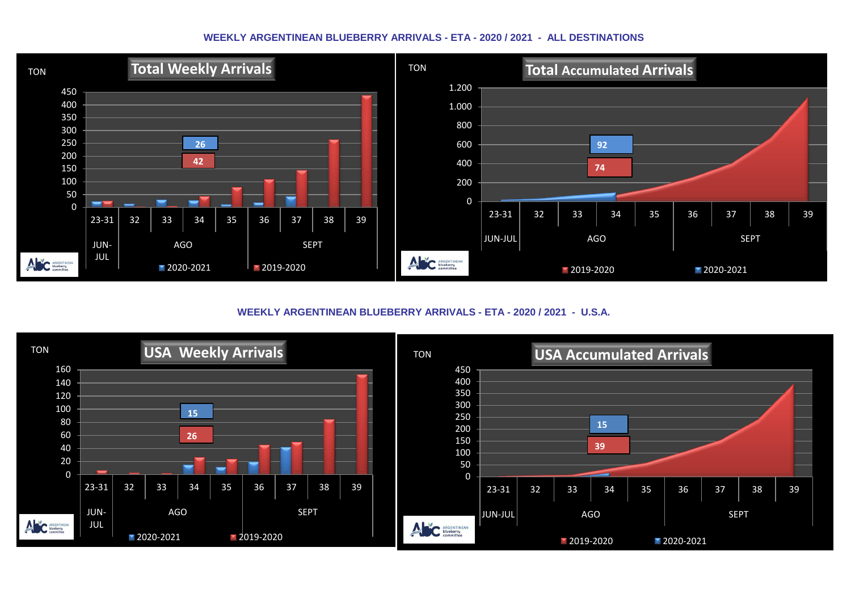### **WEEKLY ARGENTINEAN BLUEBERRY ARRIVALS - ETA - 2020 / 2021 - ALL DESTINATIONS**



**WEEKLY ARGENTINEAN BLUEBERRY ARRIVALS - ETA - 2020 / 2021 - U.S.A.**

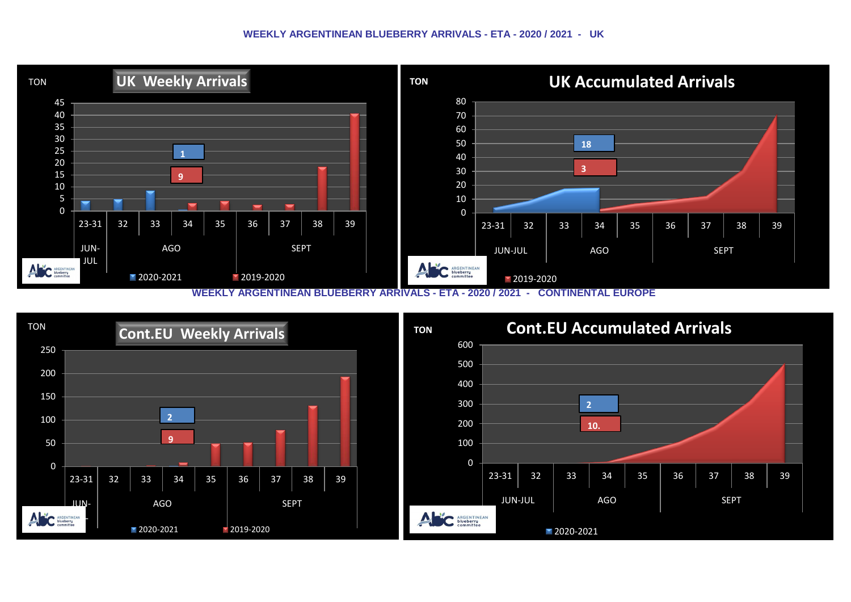### **WEEKLY ARGENTINEAN BLUEBERRY ARRIVALS - ETA - 2020 / 2021 - UK**



**WEEKLY ARGENTINEAN BLUEBERRY ARRIVALS - ETA - 2020 / 2021 - CONTINENTAL EUROPE**